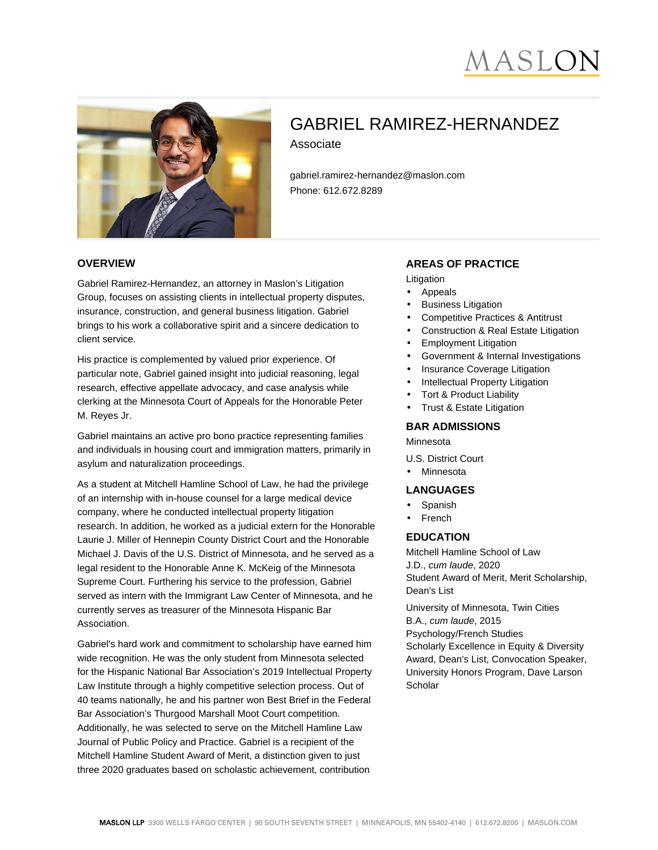# MASLC



# GABRIEL RAMIREZ-HERNANDEZ Associate

gabriel.ramirez-hernandez@maslon.com Phone: 612.672.8289

#### **OVERVIEW**

Gabriel Ramirez-Hernandez, an attorney in Maslon's Litigation Group, focuses on assisting clients in intellectual property disputes, insurance, construction, and general business litigation. Gabriel brings to his work a collaborative spirit and a sincere dedication to client service.

His practice is complemented by valued prior experience. Of particular note, Gabriel gained insight into judicial reasoning, legal research, effective appellate advocacy, and case analysis while clerking at the Minnesota Court of Appeals for the Honorable Peter M. Reyes Jr.

Gabriel maintains an active pro bono practice representing families and individuals in housing court and immigration matters, primarily in asylum and naturalization proceedings.

As a student at Mitchell Hamline School of Law, he had the privilege of an internship with in-house counsel for a large medical device company, where he conducted intellectual property litigation research. In addition, he worked as a judicial extern for the Honorable Laurie J. Miller of Hennepin County District Court and the Honorable Michael J. Davis of the U.S. District of Minnesota, and he served as a legal resident to the Honorable Anne K. McKeig of the Minnesota Supreme Court. Furthering his service to the profession, Gabriel served as intern with the Immigrant Law Center of Minnesota, and he currently serves as treasurer of the Minnesota Hispanic Bar Association.

Gabriel's hard work and commitment to scholarship have earned him wide recognition. He was the only student from Minnesota selected for the Hispanic National Bar Association's 2019 Intellectual Property Law Institute through a highly competitive selection process. Out of 40 teams nationally, he and his partner won Best Brief in the Federal Bar Association's Thurgood Marshall Moot Court competition. Additionally, he was selected to serve on the Mitchell Hamline Law Journal of Public Policy and Practice. Gabriel is a recipient of the Mitchell Hamline Student Award of Merit, a distinction given to just three 2020 graduates based on scholastic achievement, contribution

### **AREAS OF PRACTICE**

Litigation

- Appeals
- **Business Litigation**
- Competitive Practices & Antitrust
- Construction & Real Estate Litigation
- Employment Litigation
- Government & Internal Investigations
- Insurance Coverage Litigation
- **Intellectual Property Litigation**
- Tort & Product Liability
- Trust & Estate Litigation

#### **BAR ADMISSIONS**

Minnesota

- U.S. District Court
- Minnesota

# **LANGUAGES**

- Spanish
- French

# **EDUCATION**

Mitchell Hamline School of Law J.D., cum laude, 2020 Student Award of Merit, Merit Scholarship, Dean's List

University of Minnesota, Twin Cities B.A., cum laude, 2015 Psychology/French Studies Scholarly Excellence in Equity & Diversity Award, Dean's List, Convocation Speaker, University Honors Program, Dave Larson **Scholar**